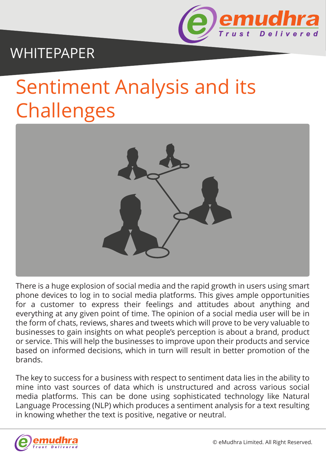

# WHITEPAPER

# Sentiment Analysis and its Challenges



There is a huge explosion of social media and the rapid growth in users using smart phone devices to log in to social media platforms. This gives ample opportunities for a customer to express their feelings and attitudes about anything and everything at any given point of time. The opinion of a social media user will be in the form of chats, reviews, shares and tweets which will prove to be very valuable to businesses to gain insights on what people's perception is about a brand, product or service. This will help the businesses to improve upon their products and service based on informed decisions, which in turn will result in better promotion of the brands.

The key to success for a business with respect to sentiment data lies in the ability to mine into vast sources of data which is unstructured and across various social media platforms. This can be done using sophisticated technology like Natural Language Processing (NLP) which produces a sentiment analysis for a text resulting in knowing whether the text is positive, negative or neutral.

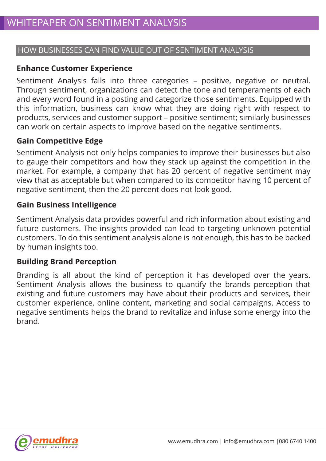## HOW BUSINESSES CAN FIND VALUE OUT OF SENTIMENT ANALYSIS

#### **Enhance Customer Experience**

Sentiment Analysis falls into three categories – positive, negative or neutral. Through sentiment, organizations can detect the tone and temperaments of each and every word found in a posting and categorize those sentiments. Equipped with this information, business can know what they are doing right with respect to products, services and customer support – positive sentiment; similarly businesses can work on certain aspects to improve based on the negative sentiments.

## **Gain Competitive Edge**

Sentiment Analysis not only helps companies to improve their businesses but also to gauge their competitors and how they stack up against the competition in the market. For example, a company that has 20 percent of negative sentiment may view that as acceptable but when compared to its competitor having 10 percent of negative sentiment, then the 20 percent does not look good.

#### **Gain Business Intelligence**

Sentiment Analysis data provides powerful and rich information about existing and future customers. The insights provided can lead to targeting unknown potential customers. To do this sentiment analysis alone is not enough, this has to be backed by human insights too.

#### **Building Brand Perception**

Branding is all about the kind of perception it has developed over the years. Sentiment Analysis allows the business to quantify the brands perception that existing and future customers may have about their products and services, their customer experience, online content, marketing and social campaigns. Access to negative sentiments helps the brand to revitalize and infuse some energy into the brand.

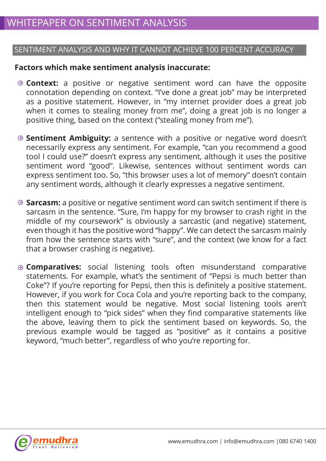# SENTIMENT ANALYSIS AND WHY IT CANNOT ACHIEVE 100 PERCENT ACCURACY

#### **Factors which make sentiment analysis inaccurate:**

- **Context:** a positive or negative sentiment word can have the opposite connotation depending on context. "I've done a great job" may be interpreted as a positive statement. However, in "my internet provider does a great job when it comes to stealing money from me", doing a great job is no longer a positive thing, based on the context ("stealing money from me").
- **Sentiment Ambiguity:** a sentence with a positive or negative word doesn't necessarily express any sentiment. For example, "can you recommend a good tool I could use?" doesn't express any sentiment, although it uses the positive sentiment word "good". Likewise, sentences without sentiment words can express sentiment too. So, "this browser uses a lot of memory" doesn't contain any sentiment words, although it clearly expresses a negative sentiment.
- **Sarcasm:** a positive or negative sentiment word can switch sentiment if there is sarcasm in the sentence. "Sure, I'm happy for my browser to crash right in the middle of my coursework" is obviously a sarcastic (and negative) statement, even though it has the positive word "happy". We can detect the sarcasm mainly from how the sentence starts with "sure", and the context (we know for a fact that a browser crashing is negative).
- **Comparatives:** social listening tools often misunderstand comparative statements. For example, what's the sentiment of "Pepsi is much better than Coke"? If you're reporting for Pepsi, then this is definitely a positive statement. However, if you work for Coca Cola and you're reporting back to the company, then this statement would be negative. Most social listening tools aren't intelligent enough to "pick sides" when they find comparative statements like the above, leaving them to pick the sentiment based on keywords. So, the previous example would be tagged as "positive" as it contains a positive keyword, "much better", regardless of who you're reporting for.

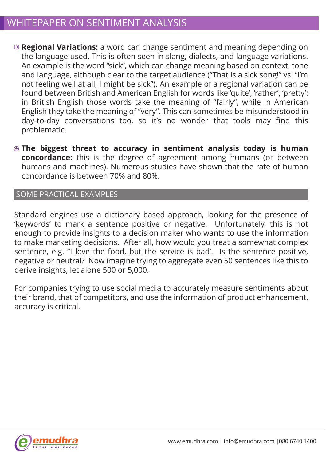- **Regional Variations:** a word can change sentiment and meaning depending on the language used. This is often seen in slang, dialects, and language variations. An example is the word "sick", which can change meaning based on context, tone and language, although clear to the target audience ("That is a sick song!" vs. "I'm not feeling well at all, I might be sick"). An example of a regional variation can be found between British and American English for words like 'quite', 'rather', 'pretty': in British English those words take the meaning of "fairly", while in American English they take the meaning of "very". This can sometimes be misunderstood in day-to-day conversations too, so it's no wonder that tools may find this problematic.
- **The biggest threat to accuracy in sentiment analysis today is human concordance:** this is the degree of agreement among humans (or between humans and machines). Numerous studies have shown that the rate of human concordance is between 70% and 80%.

#### SOME PRACTICAL EXAMPLES

Standard engines use a dictionary based approach, looking for the presence of 'keywords' to mark a sentence positive or negative. Unfortunately, this is not enough to provide insights to a decision maker who wants to use the information to make marketing decisions. After all, how would you treat a somewhat complex sentence, e.g. "I love the food, but the service is bad'. Is the sentence positive, negative or neutral? Now imagine trying to aggregate even 50 sentences like this to derive insights, let alone 500 or 5,000.

For companies trying to use social media to accurately measure sentiments about their brand, that of competitors, and use the information of product enhancement, accuracy is critical.